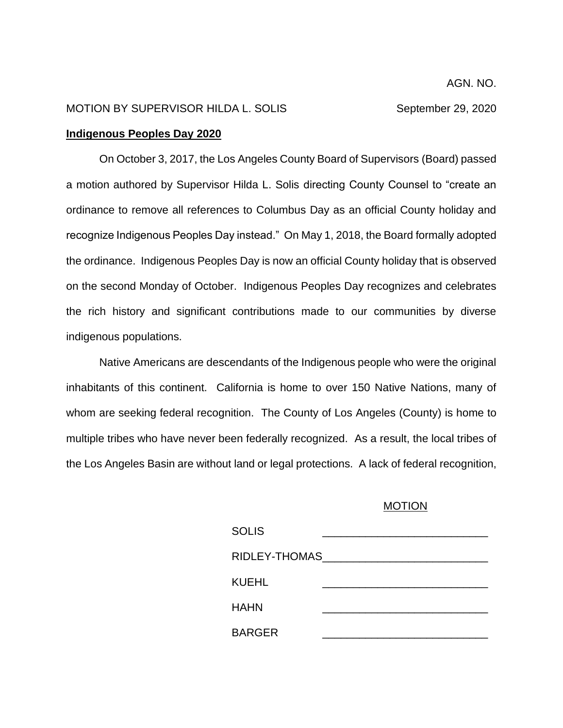## MOTION BY SUPERVISOR HILDA L. SOLIS September 29, 2020

## **Indigenous Peoples Day 2020**

On October 3, 2017, the Los Angeles County Board of Supervisors (Board) passed a motion authored by Supervisor Hilda L. Solis directing County Counsel to "create an ordinance to remove all references to Columbus Day as an official County holiday and recognize Indigenous Peoples Day instead." On May 1, 2018, the Board formally adopted the ordinance. Indigenous Peoples Day is now an official County holiday that is observed on the second Monday of October. Indigenous Peoples Day recognizes and celebrates the rich history and significant contributions made to our communities by diverse indigenous populations.

Native Americans are descendants of the Indigenous people who were the original inhabitants of this continent. California is home to over 150 Native Nations, many of whom are seeking federal recognition. The County of Los Angeles (County) is home to multiple tribes who have never been federally recognized. As a result, the local tribes of the Los Angeles Basin are without land or legal protections. A lack of federal recognition,

## MOTION

| <b>SOLIS</b>  |  |
|---------------|--|
| RIDLEY-THOMAS |  |
| KUEHL         |  |
| <b>HAHN</b>   |  |
| <b>BARGER</b> |  |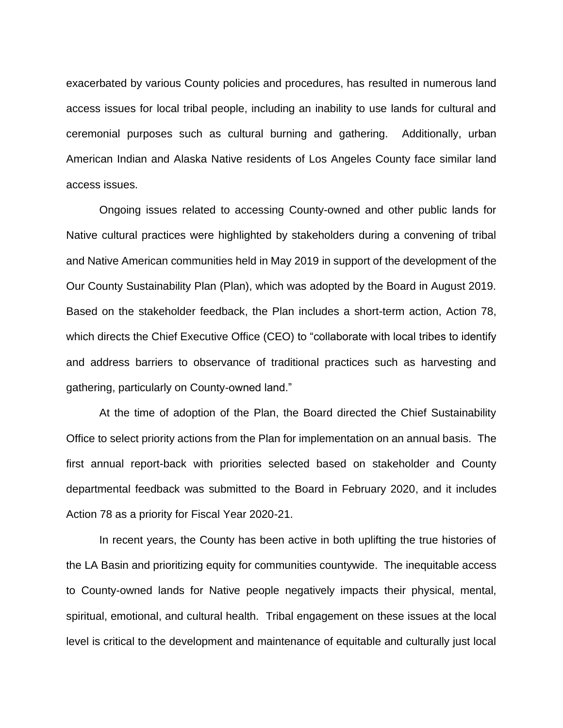exacerbated by various County policies and procedures, has resulted in numerous land access issues for local tribal people, including an inability to use lands for cultural and ceremonial purposes such as cultural burning and gathering. Additionally, urban American Indian and Alaska Native residents of Los Angeles County face similar land access issues.

Ongoing issues related to accessing County-owned and other public lands for Native cultural practices were highlighted by stakeholders during a convening of tribal and Native American communities held in May 2019 in support of the development of the Our County Sustainability Plan (Plan), which was adopted by the Board in August 2019. Based on the stakeholder feedback, the Plan includes a short-term action, Action 78, which directs the Chief Executive Office (CEO) to "collaborate with local tribes to identify and address barriers to observance of traditional practices such as harvesting and gathering, particularly on County-owned land."

At the time of adoption of the Plan, the Board directed the Chief Sustainability Office to select priority actions from the Plan for implementation on an annual basis. The first annual report-back with priorities selected based on stakeholder and County departmental feedback was submitted to the Board in February 2020, and it includes Action 78 as a priority for Fiscal Year 2020-21.

In recent years, the County has been active in both uplifting the true histories of the LA Basin and prioritizing equity for communities countywide. The inequitable access to County-owned lands for Native people negatively impacts their physical, mental, spiritual, emotional, and cultural health. Tribal engagement on these issues at the local level is critical to the development and maintenance of equitable and culturally just local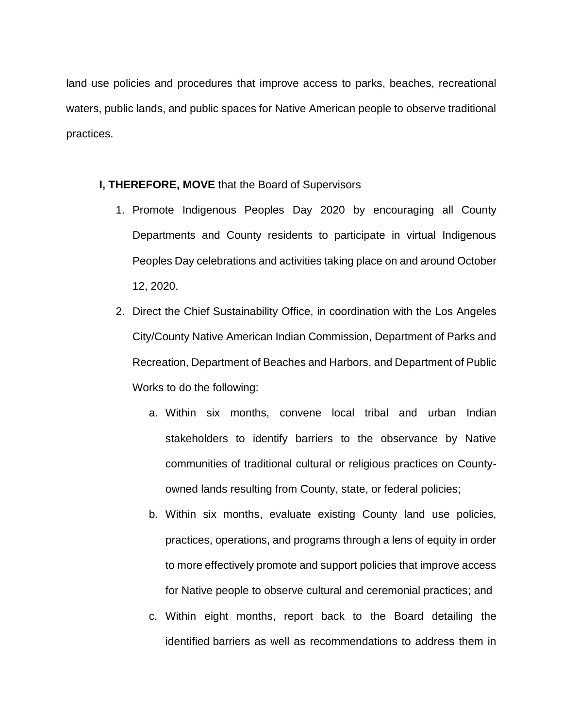land use policies and procedures that improve access to parks, beaches, recreational waters, public lands, and public spaces for Native American people to observe traditional practices.

## **I, THEREFORE, MOVE** that the Board of Supervisors

- 1. Promote Indigenous Peoples Day 2020 by encouraging all County Departments and County residents to participate in virtual Indigenous Peoples Day celebrations and activities taking place on and around October 12, 2020.
- 2. Direct the Chief Sustainability Office, in coordination with the Los Angeles City/County Native American Indian Commission, Department of Parks and Recreation, Department of Beaches and Harbors, and Department of Public Works to do the following:
	- a. Within six months, convene local tribal and urban Indian stakeholders to identify barriers to the observance by Native communities of traditional cultural or religious practices on Countyowned lands resulting from County, state, or federal policies;
	- b. Within six months, evaluate existing County land use policies, practices, operations, and programs through a lens of equity in order to more effectively promote and support policies that improve access for Native people to observe cultural and ceremonial practices; and
	- c. Within eight months, report back to the Board detailing the identified barriers as well as recommendations to address them in